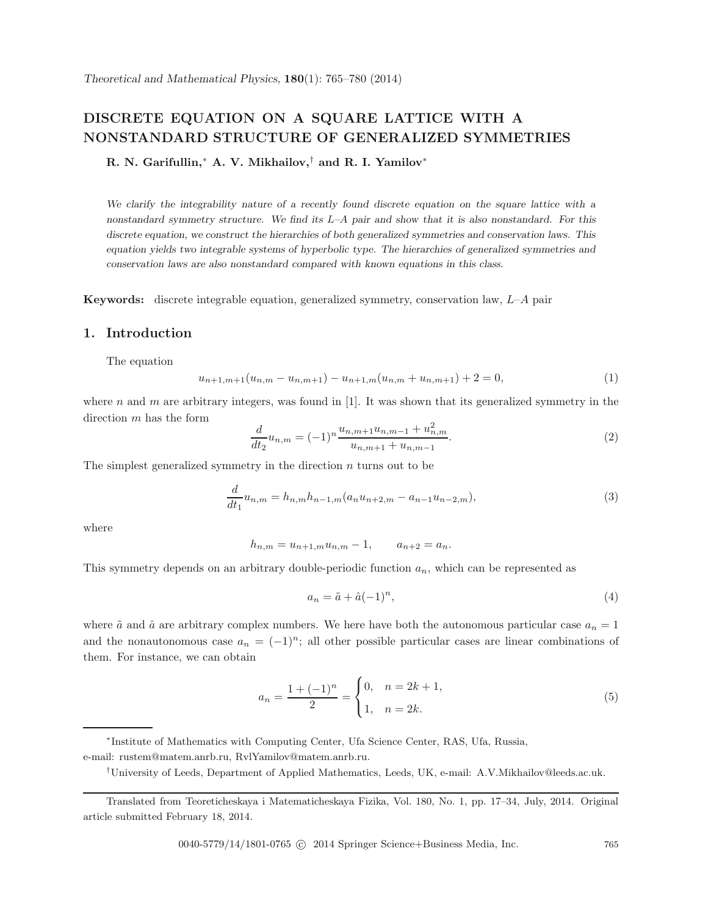# **DISCRETE EQUATION ON A SQUARE LATTICE WITH A NONSTANDARD STRUCTURE OF GENERALIZED SYMMETRIES**

**R. N. Garifullin,**<sup>∗</sup> **A. V. Mikhailov,**† **and R. I. Yamilov**<sup>∗</sup>

*We clarify the integrability nature of a recently found discrete equation on the square lattice with a nonstandard symmetry structure. We find its* L*–*A *pair and show that it is also nonstandard. For this discrete equation, we construct the hierarchies of both generalized symmetries and conservation laws. This equation yields two integrable systems of hyperbolic type. The hierarchies of generalized symmetries and conservation laws are also nonstandard compared with known equations in this class.*

**Keywords:** discrete integrable equation, generalized symmetry, conservation law, L–A pair

# **1. Introduction**

The equation

$$
u_{n+1,m+1}(u_{n,m} - u_{n,m+1}) - u_{n+1,m}(u_{n,m} + u_{n,m+1}) + 2 = 0,
$$
\n<sup>(1)</sup>

where n and m are arbitrary integers, was found in [1]. It was shown that its generalized symmetry in the direction m has the form

$$
\frac{d}{dt_2}u_{n,m} = (-1)^n \frac{u_{n,m+1}u_{n,m-1} + u_{n,m}^2}{u_{n,m+1} + u_{n,m-1}}.
$$
\n(2)

The simplest generalized symmetry in the direction  $n$  turns out to be

$$
\frac{d}{dt_1}u_{n,m} = h_{n,m}h_{n-1,m}(a_nu_{n+2,m} - a_{n-1}u_{n-2,m}),
$$
\n(3)

where

$$
h_{n,m} = u_{n+1,m}u_{n,m} - 1, \qquad a_{n+2} = a_n.
$$

This symmetry depends on an arbitrary double-periodic function  $a_n$ , which can be represented as

$$
a_n = \tilde{a} + \hat{a}(-1)^n,\tag{4}
$$

where  $\tilde{a}$  and  $\hat{a}$  are arbitrary complex numbers. We here have both the autonomous particular case  $a_n = 1$ and the nonautonomous case  $a_n = (-1)^n$ ; all other possible particular cases are linear combinations of them. For instance, we can obtain

$$
a_n = \frac{1 + (-1)^n}{2} = \begin{cases} 0, & n = 2k + 1, \\ 1, & n = 2k. \end{cases}
$$
 (5)

0040-5779/14/1801-0765 © 2014 Springer Science+Business Media, Inc. 765

<sup>∗</sup>Institute of Mathematics with Computing Center, Ufa Science Center, RAS, Ufa, Russia, e-mail: rustem@matem.anrb.ru, RvlYamilov@matem.anrb.ru.

<sup>†</sup>University of Leeds, Department of Applied Mathematics, Leeds, UK, e-mail: A.V.Mikhailov@leeds.ac.uk.

Translated from Teoreticheskaya i Matematicheskaya Fizika, Vol. 180, No. 1, pp. 17–34, July, 2014. Original article submitted February 18, 2014.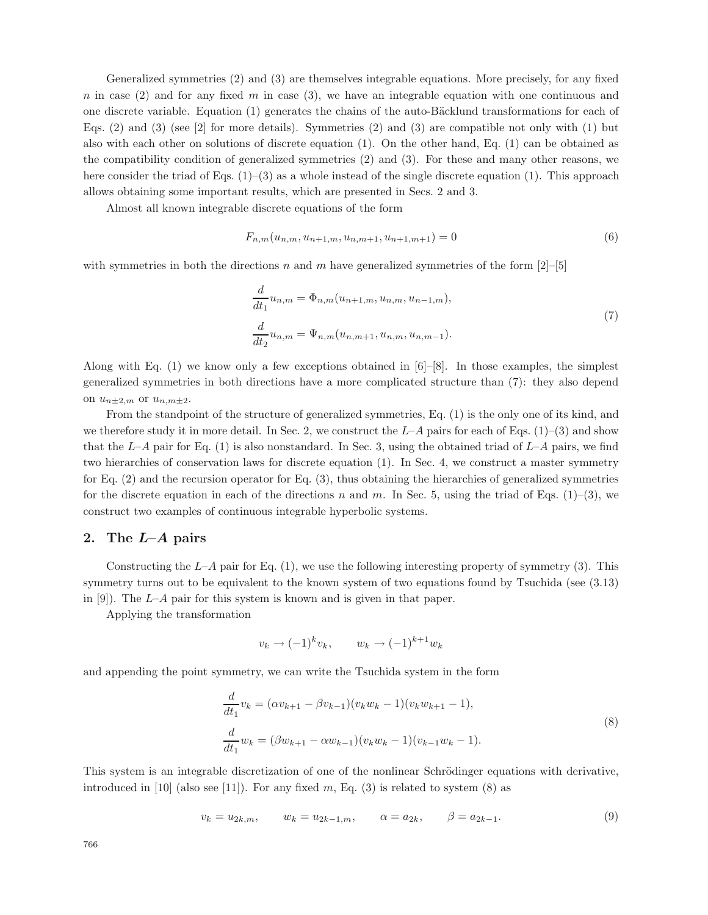Generalized symmetries (2) and (3) are themselves integrable equations. More precisely, for any fixed n in case  $(2)$  and for any fixed m in case  $(3)$ , we have an integrable equation with one continuous and one discrete variable. Equation (1) generates the chains of the auto-Bäcklund transformations for each of Eqs.  $(2)$  and  $(3)$  (see [2] for more details). Symmetries  $(2)$  and  $(3)$  are compatible not only with  $(1)$  but also with each other on solutions of discrete equation (1). On the other hand, Eq. (1) can be obtained as the compatibility condition of generalized symmetries (2) and (3). For these and many other reasons, we here consider the triad of Eqs. (1)–(3) as a whole instead of the single discrete equation (1). This approach allows obtaining some important results, which are presented in Secs. 2 and 3.

Almost all known integrable discrete equations of the form

$$
F_{n,m}(u_{n,m}, u_{n+1,m}, u_{n,m+1}, u_{n+1,m+1}) = 0
$$
\n<sup>(6)</sup>

with symmetries in both the directions n and m have generalized symmetries of the form  $[2]-[5]$ 

$$
\frac{d}{dt_1}u_{n,m} = \Phi_{n,m}(u_{n+1,m}, u_{n,m}, u_{n-1,m}),
$$
\n
$$
\frac{d}{dt_2}u_{n,m} = \Psi_{n,m}(u_{n,m+1}, u_{n,m}, u_{n,m-1}).
$$
\n(7)

Along with Eq.  $(1)$  we know only a few exceptions obtained in  $[6]-[8]$ . In those examples, the simplest generalized symmetries in both directions have a more complicated structure than (7): they also depend on  $u_{n\pm 2,m}$  or  $u_{n,m\pm 2}$ .

From the standpoint of the structure of generalized symmetries, Eq. (1) is the only one of its kind, and we therefore study it in more detail. In Sec. 2, we construct the  $L-A$  pairs for each of Eqs. (1)–(3) and show that the  $L-A$  pair for Eq. (1) is also nonstandard. In Sec. 3, using the obtained triad of  $L-A$  pairs, we find two hierarchies of conservation laws for discrete equation (1). In Sec. 4, we construct a master symmetry for Eq. (2) and the recursion operator for Eq. (3), thus obtaining the hierarchies of generalized symmetries for the discrete equation in each of the directions n and m. In Sec. 5, using the triad of Eqs. (1)–(3), we construct two examples of continuous integrable hyperbolic systems.

### **2. The** *L***–***A* **pairs**

Constructing the  $L-A$  pair for Eq.  $(1)$ , we use the following interesting property of symmetry  $(3)$ . This symmetry turns out to be equivalent to the known system of two equations found by Tsuchida (see (3.13) in  $[9]$ . The L–A pair for this system is known and is given in that paper.

Applying the transformation

$$
v_k \to (-1)^k v_k, \qquad w_k \to (-1)^{k+1} w_k
$$

and appending the point symmetry, we can write the Tsuchida system in the form

$$
\frac{d}{dt_1}v_k = (\alpha v_{k+1} - \beta v_{k-1})(v_k w_k - 1)(v_k w_{k+1} - 1),
$$
\n
$$
\frac{d}{dt_1}w_k = (\beta w_{k+1} - \alpha w_{k-1})(v_k w_k - 1)(v_{k-1} w_k - 1).
$$
\n(8)

This system is an integrable discretization of one of the nonlinear Schrödinger equations with derivative, introduced in  $[10]$  (also see  $[11]$ ). For any fixed m, Eq. (3) is related to system (8) as

$$
v_k = u_{2k,m}, \qquad w_k = u_{2k-1,m}, \qquad \alpha = a_{2k}, \qquad \beta = a_{2k-1}.
$$
 (9)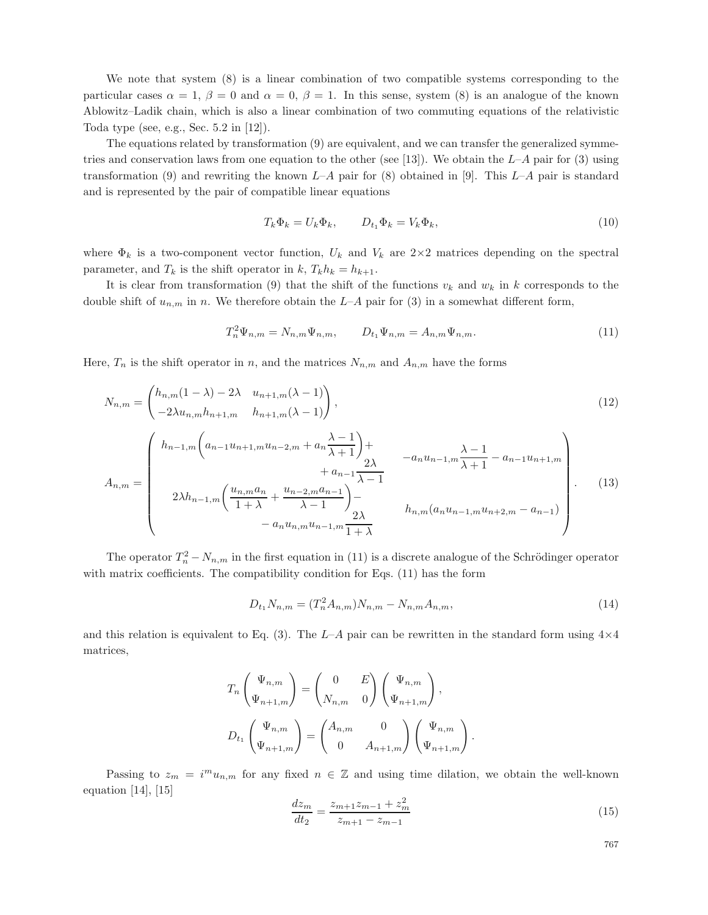We note that system (8) is a linear combination of two compatible systems corresponding to the particular cases  $\alpha = 1$ ,  $\beta = 0$  and  $\alpha = 0$ ,  $\beta = 1$ . In this sense, system (8) is an analogue of the known Ablowitz–Ladik chain, which is also a linear combination of two commuting equations of the relativistic Toda type (see, e.g., Sec. 5.2 in [12]).

The equations related by transformation (9) are equivalent, and we can transfer the generalized symmetries and conservation laws from one equation to the other (see [13]). We obtain the  $L-A$  pair for (3) using transformation (9) and rewriting the known  $L-A$  pair for (8) obtained in [9]. This  $L-A$  pair is standard and is represented by the pair of compatible linear equations

$$
T_k \Phi_k = U_k \Phi_k, \qquad D_{t_1} \Phi_k = V_k \Phi_k,\tag{10}
$$

where  $\Phi_k$  is a two-component vector function,  $U_k$  and  $V_k$  are  $2\times 2$  matrices depending on the spectral parameter, and  $T_k$  is the shift operator in k,  $T_k h_k = h_{k+1}$ .

It is clear from transformation (9) that the shift of the functions  $v_k$  and  $w_k$  in k corresponds to the double shift of  $u_{n,m}$  in n. We therefore obtain the L–A pair for (3) in a somewhat different form,

$$
T_n^2 \Psi_{n,m} = N_{n,m} \Psi_{n,m}, \qquad D_{t_1} \Psi_{n,m} = A_{n,m} \Psi_{n,m}.
$$
 (11)

Here,  $T_n$  is the shift operator in n, and the matrices  $N_{n,m}$  and  $A_{n,m}$  have the forms

$$
N_{n,m} = \begin{pmatrix} h_{n,m}(1-\lambda) - 2\lambda & u_{n+1,m}(\lambda - 1) \\ -2\lambda u_{n,m} h_{n+1,m} & h_{n+1,m}(\lambda - 1) \end{pmatrix},
$$
\n(12)

$$
A_{n,m} = \begin{pmatrix} h_{n-1,m} \left( a_{n-1} u_{n+1,m} u_{n-2,m} + a_n \frac{\lambda - 1}{\lambda + 1} \right) + & -a_n u_{n-1,m} \frac{\lambda - 1}{\lambda + 1} - a_{n-1} u_{n+1,m} \\ & + a_{n-1} \frac{2\lambda}{\lambda - 1} & & -a_n u_{n-1,m} \frac{\lambda - 1}{\lambda + 1} - a_{n-1} u_{n+1,m} \\ 2\lambda h_{n-1,m} \left( \frac{u_{n,m} a_n}{1 + \lambda} + \frac{u_{n-2,m} a_{n-1}}{\lambda - 1} \right) - & h_{n,m} (a_n u_{n-1,m} u_{n+2,m} - a_{n-1}) \\ & -a_n u_{n,m} u_{n-1,m} \frac{2\lambda}{1 + \lambda} & & \end{pmatrix} . \tag{13}
$$

The operator  $T_n^2 - N_{n,m}$  in the first equation in (11) is a discrete analogue of the Schrödinger operator with matrix coefficients. The compatibility condition for Eqs. (11) has the form

$$
D_{t_1} N_{n,m} = (T_n^2 A_{n,m}) N_{n,m} - N_{n,m} A_{n,m}, \qquad (14)
$$

and this relation is equivalent to Eq. (3). The  $L-A$  pair can be rewritten in the standard form using  $4\times4$ matrices,

$$
T_n \begin{pmatrix} \Psi_{n,m} \\ \Psi_{n+1,m} \end{pmatrix} = \begin{pmatrix} 0 & E \\ N_{n,m} & 0 \end{pmatrix} \begin{pmatrix} \Psi_{n,m} \\ \Psi_{n+1,m} \end{pmatrix},
$$

$$
D_{t_1} \begin{pmatrix} \Psi_{n,m} \\ \Psi_{n+1,m} \end{pmatrix} = \begin{pmatrix} A_{n,m} & 0 \\ 0 & A_{n+1,m} \end{pmatrix} \begin{pmatrix} \Psi_{n,m} \\ \Psi_{n+1,m} \end{pmatrix}.
$$

Passing to  $z_m = i^m u_{n,m}$  for any fixed  $n \in \mathbb{Z}$  and using time dilation, we obtain the well-known equation [14], [15]

$$
\frac{dz_m}{dt_2} = \frac{z_{m+1}z_{m-1} + z_m^2}{z_{m+1} - z_{m-1}}\tag{15}
$$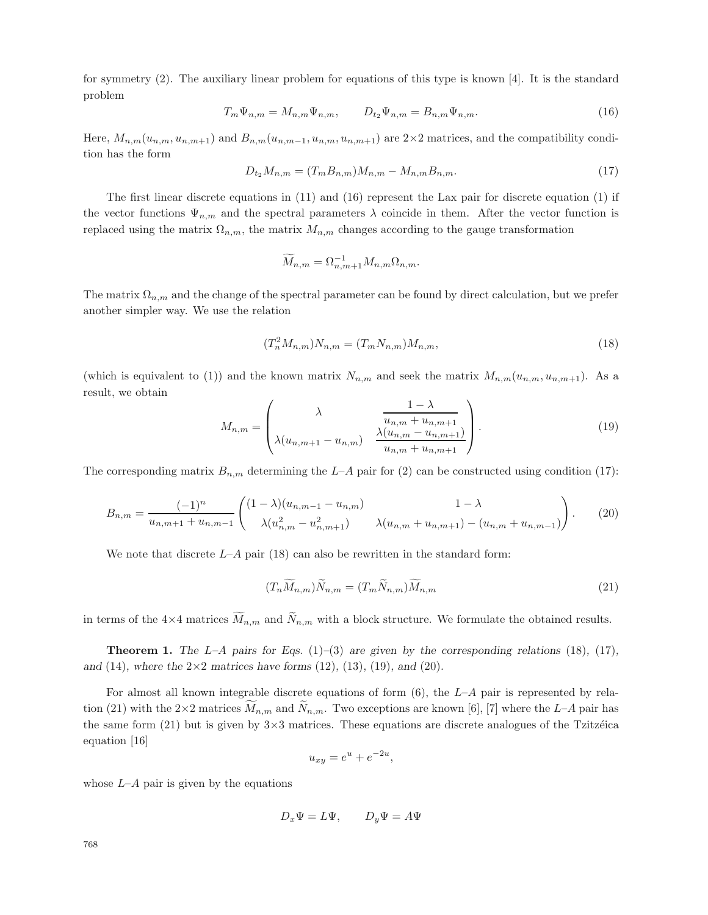for symmetry (2). The auxiliary linear problem for equations of this type is known [4]. It is the standard problem

$$
T_m \Psi_{n,m} = M_{n,m} \Psi_{n,m}, \qquad D_{t_2} \Psi_{n,m} = B_{n,m} \Psi_{n,m}.
$$
\n(16)

Here,  $M_{n,m}(u_{n,m}, u_{n,m+1})$  and  $B_{n,m}(u_{n,m-1}, u_{n,m}, u_{n,m+1})$  are  $2\times 2$  matrices, and the compatibility condition has the form

$$
D_{t_2}M_{n,m} = (T_m B_{n,m})M_{n,m} - M_{n,m}B_{n,m}.
$$
\n(17)

The first linear discrete equations in (11) and (16) represent the Lax pair for discrete equation (1) if the vector functions  $\Psi_{n,m}$  and the spectral parameters  $\lambda$  coincide in them. After the vector function is replaced using the matrix  $\Omega_{n,m}$ , the matrix  $M_{n,m}$  changes according to the gauge transformation

$$
\widetilde{M}_{n,m} = \Omega_{n,m+1}^{-1} M_{n,m} \Omega_{n,m}.
$$

The matrix  $\Omega_{n,m}$  and the change of the spectral parameter can be found by direct calculation, but we prefer another simpler way. We use the relation

$$
(T_n^2 M_{n,m}) N_{n,m} = (T_m N_{n,m}) M_{n,m},
$$
\n(18)

(which is equivalent to (1)) and the known matrix  $N_{n,m}$  and seek the matrix  $M_{n,m}(u_{n,m}, u_{n,m+1})$ . As a result, we obtain

$$
M_{n,m} = \begin{pmatrix} \lambda & \frac{1-\lambda}{u_{n,m} + u_{n,m+1}} \\ \lambda(u_{n,m+1} - u_{n,m}) & \frac{\lambda(u_{n,m} - u_{n,m+1})}{u_{n,m} + u_{n,m+1}} \end{pmatrix}.
$$
 (19)

The corresponding matrix  $B_{n,m}$  determining the L–A pair for (2) can be constructed using condition (17):

$$
B_{n,m} = \frac{(-1)^n}{u_{n,m+1} + u_{n,m-1}} \begin{pmatrix} (1-\lambda)(u_{n,m-1} - u_{n,m}) & 1-\lambda \\ \lambda(u_{n,m}^2 - u_{n,m+1}^2) & \lambda(u_{n,m} + u_{n,m+1}) - (u_{n,m} + u_{n,m-1}) \end{pmatrix}.
$$
 (20)

We note that discrete  $L-A$  pair (18) can also be rewritten in the standard form:

$$
(T_n\widetilde{M}_{n,m})\widetilde{N}_{n,m} = (T_m\widetilde{N}_{n,m})\widetilde{M}_{n,m}
$$
\n(21)

in terms of the  $4\times 4$  matrices  $M_{n,m}$  and  $N_{n,m}$  with a block structure. We formulate the obtained results.

**Theorem 1.** *The* L*–*A *pairs for Eqs.* (1)*–*(3) *are given by the corresponding relations* (18)*,* (17)*, and* (14)*, where the* 2×2 *matrices have forms* (12)*,* (13)*,* (19)*, and* (20)*.*

For almost all known integrable discrete equations of form  $(6)$ , the  $L-A$  pair is represented by relation (21) with the 2×2 matrices  $M_{n,m}$  and  $N_{n,m}$ . Two exceptions are known [6], [7] where the L–A pair has the same form  $(21)$  but is given by  $3\times 3$  matrices. These equations are discrete analogues of the Tzitzéica equation [16]

$$
u_{xy} = e^u + e^{-2u},
$$

whose  $L-A$  pair is given by the equations

$$
D_x \Psi = L \Psi, \qquad D_y \Psi = A \Psi
$$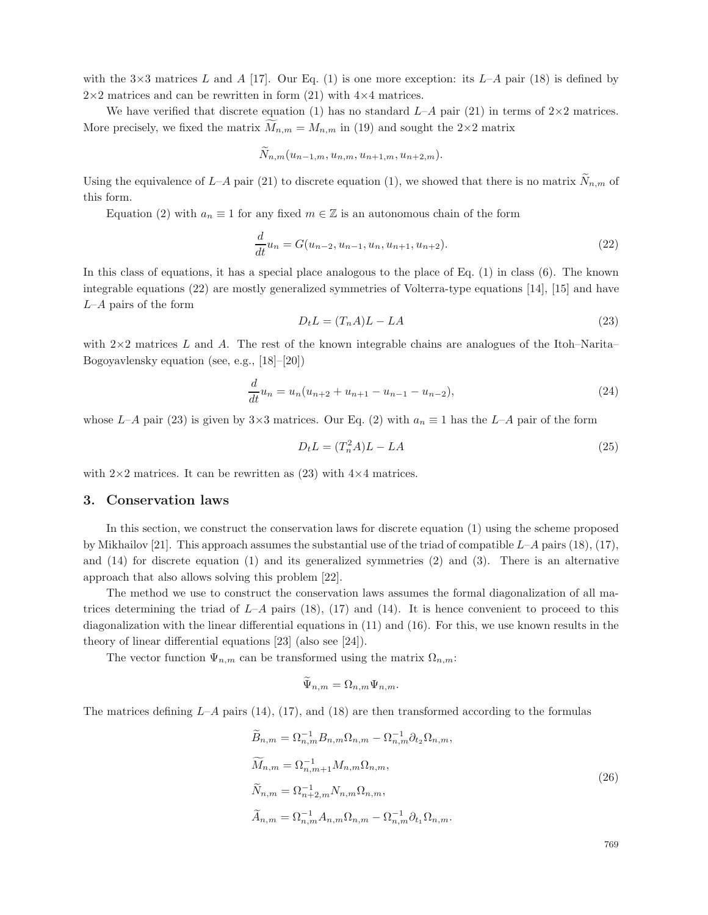with the  $3\times3$  matrices L and A [17]. Our Eq. (1) is one more exception: its L–A pair (18) is defined by  $2\times 2$  matrices and can be rewritten in form (21) with  $4\times 4$  matrices.

We have verified that discrete equation (1) has no standard  $L-A$  pair (21) in terms of  $2\times 2$  matrices. More precisely, we fixed the matrix  $M_{n,m} = M_{n,m}$  in (19) and sought the 2×2 matrix

$$
N_{n,m}(u_{n-1,m},u_{n,m},u_{n+1,m},u_{n+2,m}).
$$

Using the equivalence of  $L-A$  pair (21) to discrete equation (1), we showed that there is no matrix  $N_{n,m}$  of this form.

Equation (2) with  $a_n \equiv 1$  for any fixed  $m \in \mathbb{Z}$  is an autonomous chain of the form

$$
\frac{d}{dt}u_n = G(u_{n-2}, u_{n-1}, u_n, u_{n+1}, u_{n+2}).
$$
\n(22)

In this class of equations, it has a special place analogous to the place of Eq. (1) in class (6). The known integrable equations (22) are mostly generalized symmetries of Volterra-type equations [14], [15] and have  $L-A$  pairs of the form

$$
D_t L = (T_n A)L - LA \tag{23}
$$

with  $2\times2$  matrices L and A. The rest of the known integrable chains are analogues of the Itoh–Narita– Bogoyavlensky equation (see, e.g., [18]–[20])

$$
\frac{d}{dt}u_n = u_n(u_{n+2} + u_{n+1} - u_{n-1} - u_{n-2}),
$$
\n(24)

whose L–A pair (23) is given by 3×3 matrices. Our Eq. (2) with  $a_n \equiv 1$  has the L–A pair of the form

$$
D_t L = (T_n^2 A)L - LA \tag{25}
$$

with  $2\times 2$  matrices. It can be rewritten as (23) with  $4\times 4$  matrices.

### **3. Conservation laws**

In this section, we construct the conservation laws for discrete equation (1) using the scheme proposed by Mikhailov [21]. This approach assumes the substantial use of the triad of compatible  $L-A$  pairs (18), (17), and (14) for discrete equation (1) and its generalized symmetries (2) and (3). There is an alternative approach that also allows solving this problem [22].

The method we use to construct the conservation laws assumes the formal diagonalization of all matrices determining the triad of  $L-A$  pairs (18), (17) and (14). It is hence convenient to proceed to this diagonalization with the linear differential equations in (11) and (16). For this, we use known results in the theory of linear differential equations [23] (also see [24]).

The vector function  $\Psi_{n,m}$  can be transformed using the matrix  $\Omega_{n,m}$ :

$$
\Psi_{n,m} = \Omega_{n,m} \Psi_{n,m}.
$$

The matrices defining  $L-A$  pairs (14), (17), and (18) are then transformed according to the formulas

$$
\widetilde{B}_{n,m} = \Omega_{n,m}^{-1} B_{n,m} \Omega_{n,m} - \Omega_{n,m}^{-1} \partial_{t_2} \Omega_{n,m},
$$
\n
$$
\widetilde{M}_{n,m} = \Omega_{n,m+1}^{-1} M_{n,m} \Omega_{n,m},
$$
\n
$$
\widetilde{N}_{n,m} = \Omega_{n+2,m}^{-1} N_{n,m} \Omega_{n,m},
$$
\n
$$
\widetilde{A}_{n,m} = \Omega_{n,m}^{-1} A_{n,m} \Omega_{n,m} - \Omega_{n,m}^{-1} \partial_{t_1} \Omega_{n,m}.
$$
\n(26)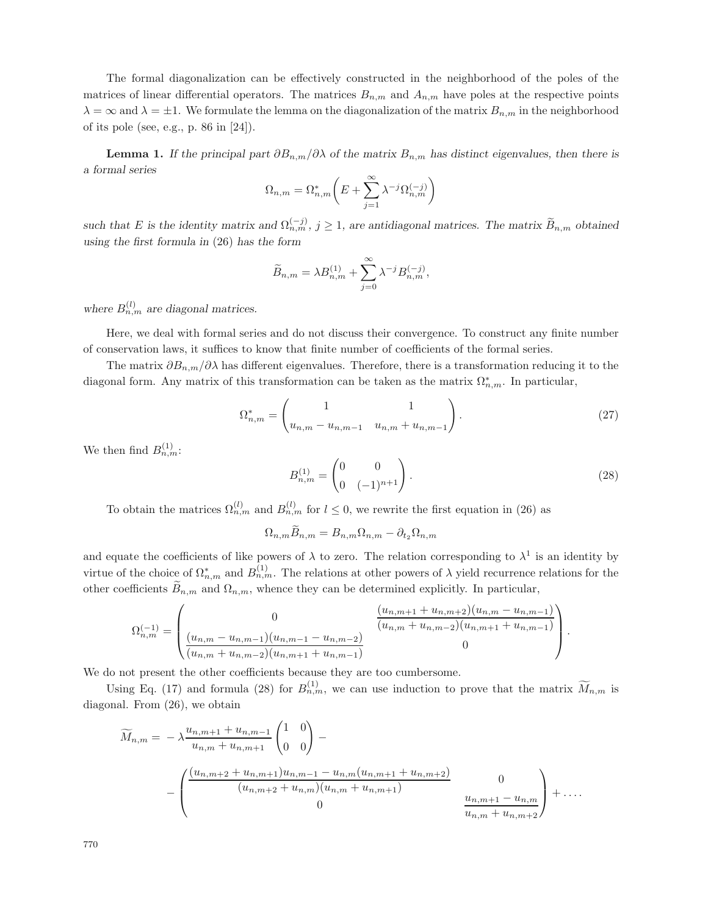The formal diagonalization can be effectively constructed in the neighborhood of the poles of the matrices of linear differential operators. The matrices  $B_{n,m}$  and  $A_{n,m}$  have poles at the respective points  $\lambda = \infty$  and  $\lambda = \pm 1$ . We formulate the lemma on the diagonalization of the matrix  $B_{n,m}$  in the neighborhood of its pole (see, e.g., p. 86 in [24]).

**Lemma 1.** *If the principal part*  $\partial B_{n,m}/\partial \lambda$  *of the matrix*  $B_{n,m}$  *has distinct eigenvalues, then there is a formal series*

$$
\Omega_{n,m}=\Omega_{n,m}^*\bigg(E+\sum_{j=1}^\infty\lambda^{-j}\Omega_{n,m}^{(-j)}\bigg)
$$

*such that* E is the identity matrix and  $\Omega_{n,m}^{(-j)}$ ,  $j \geq 1$ , are antidiagonal matrices. The matrix  $\widetilde{B}_{n,m}$  obtained *using the first formula in* (26) *has the form*

$$
\widetilde{B}_{n,m} = \lambda B_{n,m}^{(1)} + \sum_{j=0}^{\infty} \lambda^{-j} B_{n,m}^{(-j)},
$$

where  $B_{n,m}^{(l)}$  are diagonal matrices.

Here, we deal with formal series and do not discuss their convergence. To construct any finite number of conservation laws, it suffices to know that finite number of coefficients of the formal series.

The matrix  $\partial B_{n,m}/\partial\lambda$  has different eigenvalues. Therefore, there is a transformation reducing it to the diagonal form. Any matrix of this transformation can be taken as the matrix  $\Omega_{n,m}^*$ . In particular,

$$
\Omega_{n,m}^* = \begin{pmatrix} 1 & 1 \\ u_{n,m} - u_{n,m-1} & u_{n,m} + u_{n,m-1} \end{pmatrix} . \tag{27}
$$

We then find  $B_{n,m}^{(1)}$ :

$$
B_{n,m}^{(1)} = \begin{pmatrix} 0 & 0 \\ 0 & (-1)^{n+1} \end{pmatrix}.
$$
 (28)

To obtain the matrices  $\Omega_{n,m}^{(l)}$  and  $B_{n,m}^{(l)}$  for  $l \leq 0$ , we rewrite the first equation in (26) as

 $\Omega_{n,m}\widetilde{B}_{n,m}=B_{n,m}\Omega_{n,m}-\partial_{t_2}\Omega_{n,m}$ 

and equate the coefficients of like powers of  $\lambda$  to zero. The relation corresponding to  $\lambda^1$  is an identity by virtue of the choice of  $\Omega_{n,m}^*$  and  $B_{n,m}^{(1)}$ . The relations at other powers of  $\lambda$  yield recurrence relations for the other coefficients  $B_{n,m}$  and  $\Omega_{n,m}$ , whence they can be determined explicitly. In particular,

$$
\Omega_{n,m}^{(-1)} = \begin{pmatrix}\n0 & \frac{(u_{n,m+1} + u_{n,m+2})(u_{n,m} - u_{n,m-1})}{(u_{n,m} + u_{n,m-2})(u_{n,m+1} + u_{n,m-1})} \\
\frac{(u_{n,m} - u_{n,m-1})(u_{n,m-1} - u_{n,m-2})}{(u_{n,m} + u_{n,m-2})(u_{n,m+1} + u_{n,m-1})} & 0\n\end{pmatrix}.
$$

We do not present the other coefficients because they are too cumbersome.

Using Eq. (17) and formula (28) for  $B_{n,m}^{(1)}$ , we can use induction to prove that the matrix  $\widetilde{M}_{n,m}$  is diagonal. From (26), we obtain

$$
\widetilde{M}_{n,m} = -\lambda \frac{u_{n,m+1} + u_{n,m-1}}{u_{n,m} + u_{n,m+1}} \begin{pmatrix} 1 & 0 \\ 0 & 0 \end{pmatrix} -
$$
\n
$$
-\begin{pmatrix}\n\frac{(u_{n,m+2} + u_{n,m+1})u_{n,m-1} - u_{n,m}(u_{n,m+1} + u_{n,m+2})}{(u_{n,m+2} + u_{n,m})(u_{n,m} + u_{n,m+1})} & 0 \\
0 & \frac{u_{n,m+1} - u_{n,m}}{u_{n,m} + u_{n,m+2}}\n\end{pmatrix} + \dots
$$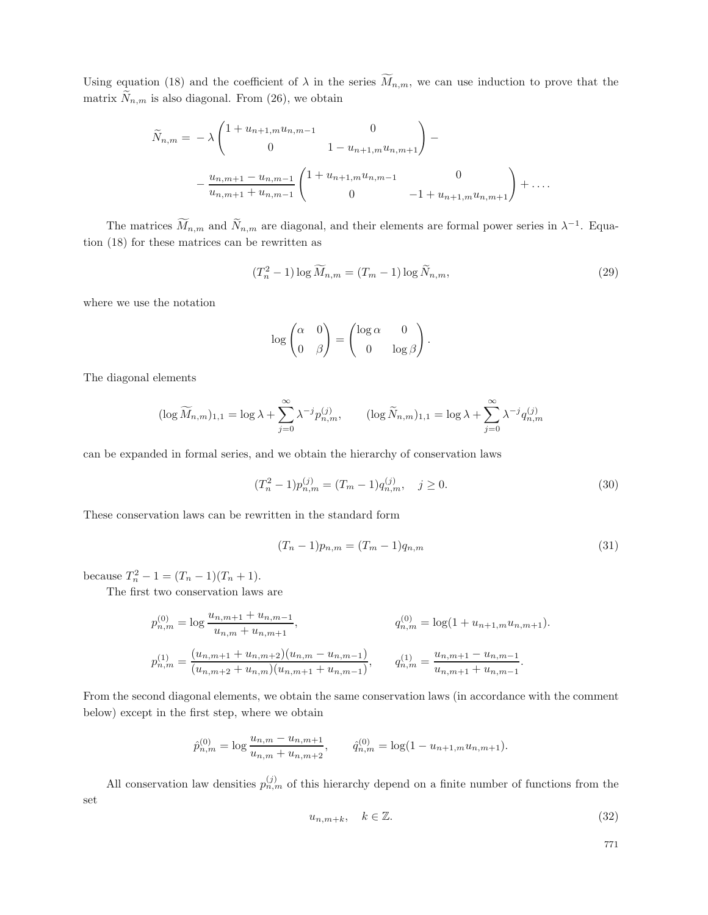Using equation (18) and the coefficient of  $\lambda$  in the series  $M_{n,m}$ , we can use induction to prove that the matrix  $N_{n,m}$  is also diagonal. From (26), we obtain

$$
\widetilde{N}_{n,m} = -\lambda \begin{pmatrix}\n1 + u_{n+1,m}u_{n,m-1} & 0 \\
0 & 1 - u_{n+1,m}u_{n,m+1}\n\end{pmatrix} - \frac{u_{n,m+1} - u_{n,m-1}}{u_{n,m+1} + u_{n,m-1}} \begin{pmatrix}\n1 + u_{n+1,m}u_{n,m-1} & 0 \\
0 & -1 + u_{n+1,m}u_{n,m+1}\n\end{pmatrix} + \dots
$$

The matrices  $\overline{M}_{n,m}$  and  $\overline{N}_{n,m}$  are diagonal, and their elements are formal power series in  $\lambda^{-1}$ . Equation (18) for these matrices can be rewritten as

$$
(T_n^2 - 1) \log \widetilde{M}_{n,m} = (T_m - 1) \log \widetilde{N}_{n,m},\tag{29}
$$

.

where we use the notation

$$
\log\begin{pmatrix}\alpha & 0\\ 0 & \beta\end{pmatrix} = \begin{pmatrix}\log \alpha & 0\\ 0 & \log \beta\end{pmatrix}
$$

The diagonal elements

$$
(\log \widetilde{M}_{n,m})_{1,1} = \log \lambda + \sum_{j=0}^{\infty} \lambda^{-j} p_{n,m}^{(j)}, \qquad (\log \widetilde{N}_{n,m})_{1,1} = \log \lambda + \sum_{j=0}^{\infty} \lambda^{-j} q_{n,m}^{(j)}
$$

can be expanded in formal series, and we obtain the hierarchy of conservation laws

$$
(T_n^2 - 1)p_{n,m}^{(j)} = (T_m - 1)q_{n,m}^{(j)}, \quad j \ge 0.
$$
\n(30)

These conservation laws can be rewritten in the standard form

$$
(T_n - 1)p_{n,m} = (T_m - 1)q_{n,m}
$$
\n(31)

because  $T_n^2 - 1 = (T_n - 1)(T_n + 1)$ .

The first two conservation laws are

$$
p_{n,m}^{(0)} = \log \frac{u_{n,m+1} + u_{n,m-1}}{u_{n,m} + u_{n,m+1}},
$$
  
\n
$$
q_{n,m}^{(0)} = \log(1 + u_{n+1,m}u_{n,m+1}).
$$
  
\n
$$
p_{n,m}^{(1)} = \frac{(u_{n,m+1} + u_{n,m+2})(u_{n,m} - u_{n,m-1})}{(u_{n,m+2} + u_{n,m})(u_{n,m+1} + u_{n,m-1})},
$$
  
\n
$$
q_{n,m}^{(1)} = \frac{u_{n,m+1} - u_{n,m-1}}{u_{n,m+1} + u_{n,m-1}}.
$$

From the second diagonal elements, we obtain the same conservation laws (in accordance with the comment below) except in the first step, where we obtain

$$
\hat{p}_{n,m}^{(0)} = \log \frac{u_{n,m} - u_{n,m+1}}{u_{n,m} + u_{n,m+2}}, \qquad \hat{q}_{n,m}^{(0)} = \log(1 - u_{n+1,m}u_{n,m+1}).
$$

All conservation law densities  $p_{n,m}^{(j)}$  of this hierarchy depend on a finite number of functions from the set

$$
u_{n,m+k}, \quad k \in \mathbb{Z}.\tag{32}
$$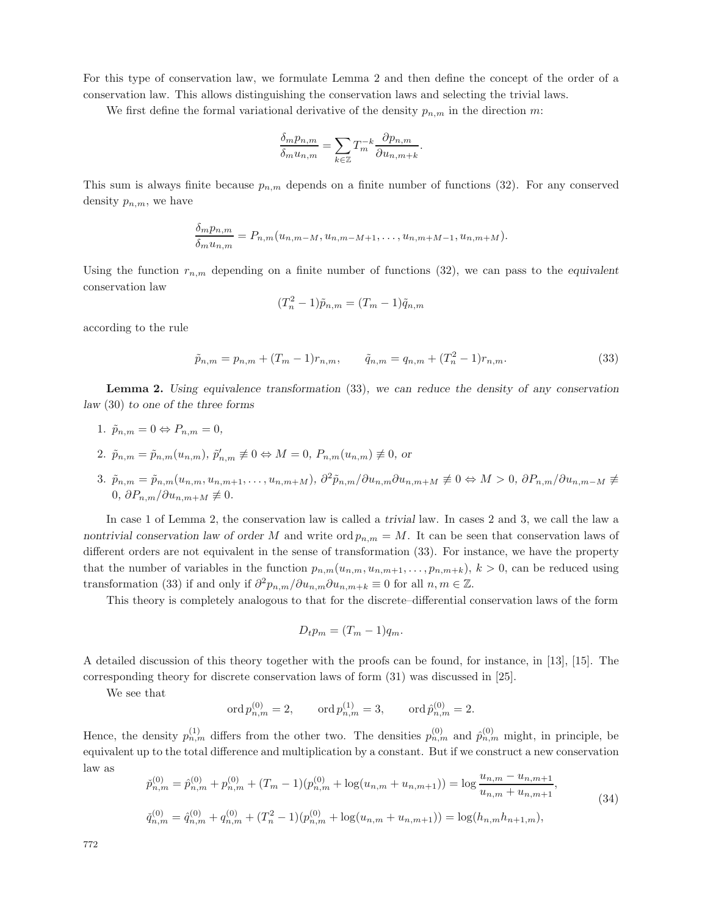For this type of conservation law, we formulate Lemma 2 and then define the concept of the order of a conservation law. This allows distinguishing the conservation laws and selecting the trivial laws.

We first define the formal variational derivative of the density  $p_{n,m}$  in the direction m:

$$
\frac{\delta_m p_{n,m}}{\delta_m u_{n,m}} = \sum_{k \in \mathbb{Z}} T_m^{-k} \frac{\partial p_{n,m}}{\partial u_{n,m+k}}.
$$

This sum is always finite because  $p_{n,m}$  depends on a finite number of functions (32). For any conserved density  $p_{n,m}$ , we have

$$
\frac{\delta_m p_{n,m}}{\delta_m u_{n,m}} = P_{n,m}(u_{n,m-M}, u_{n,m-M+1}, \dots, u_{n,m+M-1}, u_{n,m+M}).
$$

Using the function  $r_{n,m}$  depending on a finite number of functions  $(32)$ , we can pass to the *equivalent* conservation law

$$
(T_n^2 - 1)\tilde{p}_{n,m} = (T_m - 1)\tilde{q}_{n,m}
$$

according to the rule

$$
\tilde{p}_{n,m} = p_{n,m} + (T_m - 1)r_{n,m}, \qquad \tilde{q}_{n,m} = q_{n,m} + (T_n^2 - 1)r_{n,m}.
$$
\n(33)

**Lemma 2.** *Using equivalence transformation* (33)*, we can reduce the density of any conservation law* (30) *to one of the three forms*

- 1.  $\tilde{p}_{n,m} = 0 \Leftrightarrow P_{n,m} = 0$ ,
- 2.  $\tilde{p}_{n,m} = \tilde{p}_{n,m}(u_{n,m}), \tilde{p}'_{n,m} \not\equiv 0 \Leftrightarrow M = 0, P_{n,m}(u_{n,m}) \not\equiv 0$ , or
- 3.  $\tilde{p}_{n,m} = \tilde{p}_{n,m}(u_{n,m}, u_{n,m+1}, \ldots, u_{n,m+M}), \ \partial^2 \tilde{p}_{n,m}/\partial u_{n,m} \partial u_{n,m+M} \neq 0 \Leftrightarrow M > 0, \ \partial P_{n,m}/\partial u_{n,m-M} \neq 0$ 0*,*  $\partial P_{n,m}/\partial u_{n,m+M}$  ≢ 0*.*

In case 1 of Lemma 2, the conservation law is called a *trivial* law. In cases 2 and 3, we call the law a *nontrivial conservation law of order* M and write  $\text{ord}_{p_n,m} = M$ . It can be seen that conservation laws of different orders are not equivalent in the sense of transformation (33). For instance, we have the property that the number of variables in the function  $p_{n,m}(u_{n,m}, u_{n,m+1},...,p_{n,m+k}), k > 0$ , can be reduced using transformation (33) if and only if  $\partial^2 p_{n,m}/\partial u_{n,m}\partial u_{n,m+k} \equiv 0$  for all  $n,m \in \mathbb{Z}$ .

This theory is completely analogous to that for the discrete–differential conservation laws of the form

$$
D_t p_m = (T_m - 1)q_m.
$$

A detailed discussion of this theory together with the proofs can be found, for instance, in [13], [15]. The corresponding theory for discrete conservation laws of form (31) was discussed in [25].

We see that

$$
\operatorname{ord} p_{n,m}^{(0)} = 2, \qquad \operatorname{ord} p_{n,m}^{(1)} = 3, \qquad \operatorname{ord} \hat p_{n,m}^{(0)} = 2.
$$

Hence, the density  $p_{n,m}^{(1)}$  differs from the other two. The densities  $p_{n,m}^{(0)}$  and  $\hat{p}_{n,m}^{(0)}$  might, in principle, be equivalent up to the total difference and multiplication by a constant. But if we construct a new conservation law as

$$
\tilde{p}_{n,m}^{(0)} = \hat{p}_{n,m}^{(0)} + p_{n,m}^{(0)} + (T_m - 1)(p_{n,m}^{(0)} + \log(u_{n,m} + u_{n,m+1})) = \log \frac{u_{n,m} - u_{n,m+1}}{u_{n,m} + u_{n,m+1}},
$$
\n
$$
\tilde{q}_{n,m}^{(0)} = \hat{q}_{n,m}^{(0)} + q_{n,m}^{(0)} + (T_n^2 - 1)(p_{n,m}^{(0)} + \log(u_{n,m} + u_{n,m+1})) = \log(h_{n,m}h_{n+1,m}),
$$
\n(34)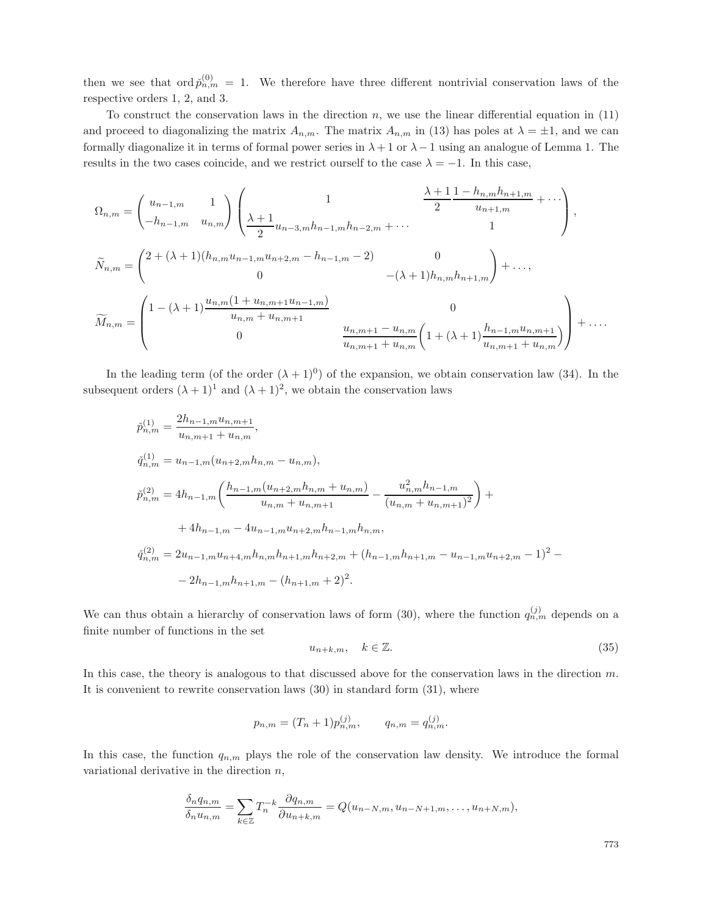then we see that  $\text{ord}\, \check{p}_{n,m}^{(0)} = 1$ . We therefore have three different nontrivial conservation laws of the respective orders 1, 2, and 3.

To construct the conservation laws in the direction  $n$ , we use the linear differential equation in  $(11)$ and proceed to diagonalizing the matrix  $A_{n,m}$ . The matrix  $A_{n,m}$  in (13) has poles at  $\lambda = \pm 1$ , and we can formally diagonalize it in terms of formal power series in  $\lambda + 1$  or  $\lambda - 1$  using an analogue of Lemma 1. The results in the two cases coincide, and we restrict ourself to the case  $\lambda = -1$ . In this case,

$$
\Omega_{n,m} = \begin{pmatrix}\nu_{n-1,m} & 1 \\
-h_{n-1,m} & u_{n,m}\n\end{pmatrix}\n\begin{pmatrix}\n1 & \frac{\lambda+1}{2} \frac{1-h_{n,m}h_{n+1,m}}{u_{n+1,m}} + \cdots \\
\frac{\lambda+1}{2} \frac{1-h_{n,m}h_{n+1,m}}{u_{n+1,m}} + \cdots\n\end{pmatrix},
$$
\n
$$
\widetilde{N}_{n,m} = \begin{pmatrix}\n2 + (\lambda+1)(h_{n,m}u_{n-1,m}u_{n+2,m} - h_{n-1,m} - 2) & 0 \\
0 & 0 & -(\lambda+1)h_{n,m}h_{n+1,m}\n\end{pmatrix} + \cdots,
$$
\n
$$
\widetilde{M}_{n,m} = \begin{pmatrix}\n1 - (\lambda+1) \frac{u_{n,m}(1 + u_{n,m+1}u_{n-1,m})}{u_{n,m} + u_{n,m+1}} & 0 \\
0 & \frac{u_{n,m+1} - u_{n,m}}{u_{n,m+1} + u_{n,m}}\left(1 + (\lambda+1) \frac{h_{n-1,m}u_{n,m+1}}{u_{n,m+1} + u_{n,m}}\right)\n\end{pmatrix} + \cdots
$$

In the leading term (of the order  $(\lambda + 1)^0$ ) of the expansion, we obtain conservation law (34). In the subsequent orders  $(\lambda + 1)^1$  and  $(\lambda + 1)^2$ , we obtain the conservation laws

$$
\tilde{p}_{n,m}^{(1)} = \frac{2h_{n-1,m}u_{n,m+1}}{u_{n,m+1} + u_{n,m}},
$$
\n
$$
\tilde{q}_{n,m}^{(1)} = u_{n-1,m}(u_{n+2,m}h_{n,m} - u_{n,m}),
$$
\n
$$
\tilde{p}_{n,m}^{(2)} = 4h_{n-1,m}\left(\frac{h_{n-1,m}(u_{n+2,m}h_{n,m} + u_{n,m})}{u_{n,m} + u_{n,m+1}} - \frac{u_{n,m}^2h_{n-1,m}}{(u_{n,m} + u_{n,m+1})^2}\right) +
$$
\n
$$
+ 4h_{n-1,m} - 4u_{n-1,m}u_{n+2,m}h_{n-1,m}h_{n,m},
$$
\n
$$
\tilde{q}_{n,m}^{(2)} = 2u_{n-1,m}u_{n+4,m}h_{n,m}h_{n+1,m}h_{n+2,m} + (h_{n-1,m}h_{n+1,m} - u_{n-1,m}u_{n+2,m} - 1)^2 -
$$
\n
$$
- 2h_{n-1,m}h_{n+1,m} - (h_{n+1,m} + 2)^2.
$$

We can thus obtain a hierarchy of conservation laws of form (30), where the function  $q_{n,m}^{(j)}$  depends on a finite number of functions in the set

$$
u_{n+k,m}, \quad k \in \mathbb{Z}.\tag{35}
$$

In this case, the theory is analogous to that discussed above for the conservation laws in the direction m. It is convenient to rewrite conservation laws (30) in standard form (31), where

$$
p_{n,m} = (T_n + 1)p_{n,m}^{(j)}, \qquad q_{n,m} = q_{n,m}^{(j)}.
$$

In this case, the function  $q_{n,m}$  plays the role of the conservation law density. We introduce the formal variational derivative in the direction  $n$ ,

$$
\frac{\delta_n q_{n,m}}{\delta_n u_{n,m}} = \sum_{k \in \mathbb{Z}} T_n^{-k} \frac{\partial q_{n,m}}{\partial u_{n+k,m}} = Q(u_{n-N,m}, u_{n-N+1,m}, \dots, u_{n+N,m}),
$$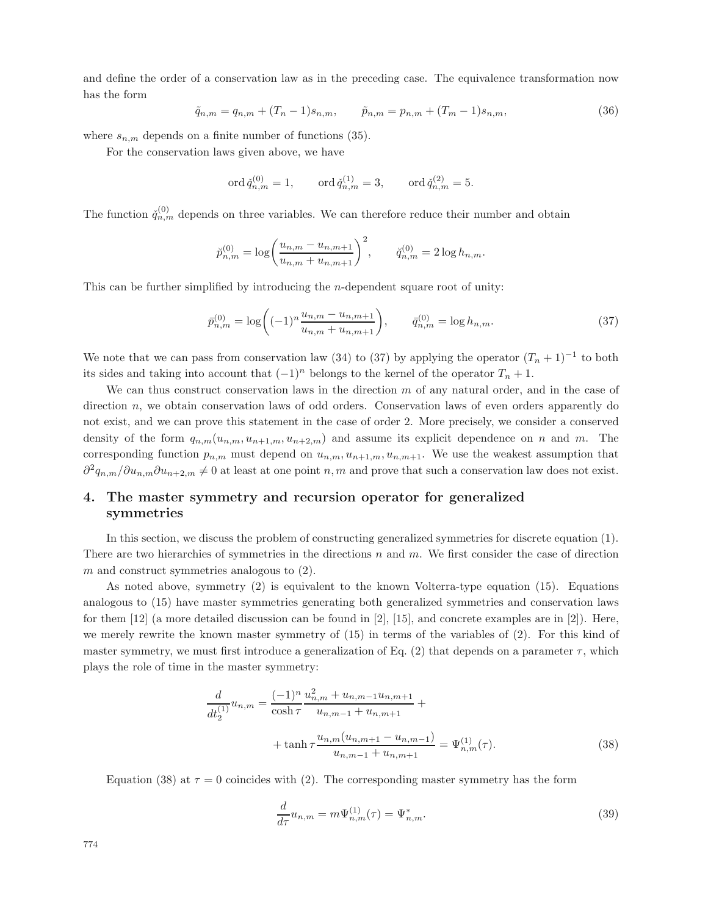and define the order of a conservation law as in the preceding case. The equivalence transformation now has the form

$$
\tilde{q}_{n,m} = q_{n,m} + (T_n - 1)s_{n,m}, \qquad \tilde{p}_{n,m} = p_{n,m} + (T_m - 1)s_{n,m}, \qquad (36)
$$

where  $s_{n,m}$  depends on a finite number of functions (35).

For the conservation laws given above, we have

$$
\operatorname{ord}\check{q}_{n,m}^{(0)} = 1, \qquad \operatorname{ord}\check{q}_{n,m}^{(1)} = 3, \qquad \operatorname{ord}\check{q}_{n,m}^{(2)} = 5.
$$

The function  $\check{q}_{n,m}^{(0)}$  depends on three variables. We can therefore reduce their number and obtain

$$
\breve{p}_{n,m}^{(0)} = \log \left( \frac{u_{n,m} - u_{n,m+1}}{u_{n,m} + u_{n,m+1}} \right)^2, \qquad \breve{q}_{n,m}^{(0)} = 2 \log h_{n,m}.
$$

This can be further simplified by introducing the  $n$ -dependent square root of unity:

$$
\bar{p}_{n,m}^{(0)} = \log\bigg((-1)^n \frac{u_{n,m} - u_{n,m+1}}{u_{n,m} + u_{n,m+1}}\bigg), \qquad \bar{q}_{n,m}^{(0)} = \log h_{n,m}.\tag{37}
$$

We note that we can pass from conservation law (34) to (37) by applying the operator  $(T_n + 1)^{-1}$  to both its sides and taking into account that  $(-1)^n$  belongs to the kernel of the operator  $T_n + 1$ .

We can thus construct conservation laws in the direction  $m$  of any natural order, and in the case of direction  $n$ , we obtain conservation laws of odd orders. Conservation laws of even orders apparently do not exist, and we can prove this statement in the case of order 2. More precisely, we consider a conserved density of the form  $q_{n,m}(u_{n,m}, u_{n+1,m}, u_{n+2,m})$  and assume its explicit dependence on n and m. The corresponding function  $p_{n,m}$  must depend on  $u_{n,m}$ ,  $u_{n+1,m}$ ,  $u_{n,m+1}$ . We use the weakest assumption that  $\partial^2 q_{n,m}/\partial u_{n,m}\partial u_{n+2,m} \neq 0$  at least at one point n, m and prove that such a conservation law does not exist.

# **4. The master symmetry and recursion operator for generalized symmetries**

In this section, we discuss the problem of constructing generalized symmetries for discrete equation (1). There are two hierarchies of symmetries in the directions n and  $m$ . We first consider the case of direction  $m$  and construct symmetries analogous to  $(2)$ .

As noted above, symmetry (2) is equivalent to the known Volterra-type equation (15). Equations analogous to (15) have master symmetries generating both generalized symmetries and conservation laws for them [12] (a more detailed discussion can be found in [2], [15], and concrete examples are in [2]). Here, we merely rewrite the known master symmetry of (15) in terms of the variables of (2). For this kind of master symmetry, we must first introduce a generalization of Eq. (2) that depends on a parameter  $\tau$ , which plays the role of time in the master symmetry:

$$
\frac{d}{dt_2^{(1)}}u_{n,m} = \frac{(-1)^n}{\cosh \tau} \frac{u_{n,m}^2 + u_{n,m-1}u_{n,m+1}}{u_{n,m-1} + u_{n,m+1}} + \n+ \tanh \tau \frac{u_{n,m}(u_{n,m+1} - u_{n,m-1})}{u_{n,m-1} + u_{n,m+1}} = \Psi_{n,m}^{(1)}(\tau). \n\tag{38}
$$

Equation (38) at  $\tau = 0$  coincides with (2). The corresponding master symmetry has the form

$$
\frac{d}{d\tau}u_{n,m} = m\Psi_{n,m}^{(1)}(\tau) = \Psi_{n,m}^*.
$$
\n(39)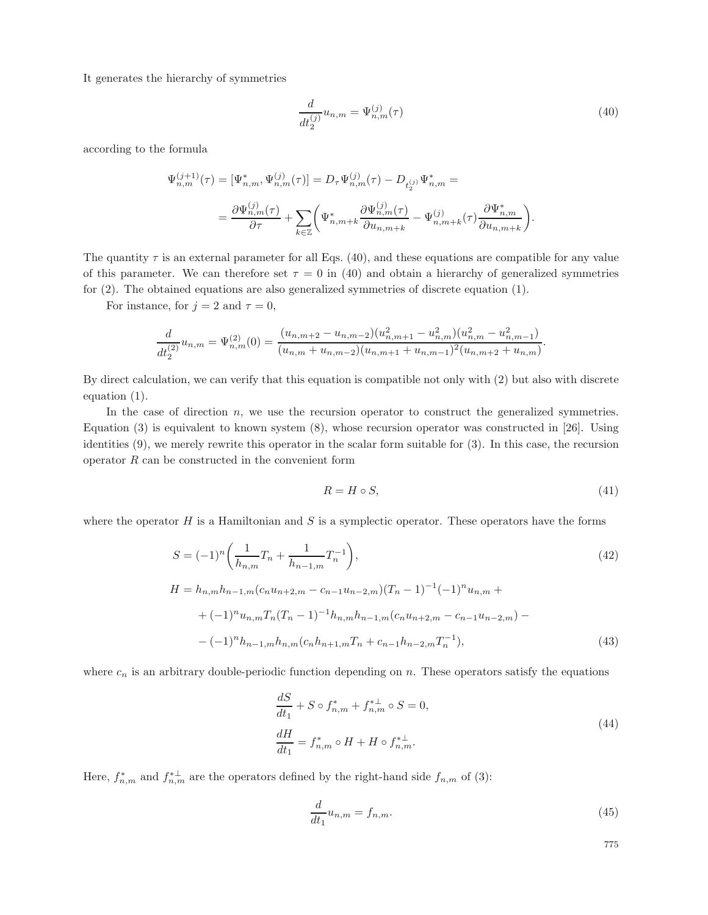It generates the hierarchy of symmetries

$$
\frac{d}{dt_2^{(j)}}u_{n,m} = \Psi_{n,m}^{(j)}(\tau)
$$
\n(40)

according to the formula

$$
\Psi_{n,m}^{(j+1)}(\tau) = [\Psi_{n,m}^*, \Psi_{n,m}^{(j)}(\tau)] = D_{\tau} \Psi_{n,m}^{(j)}(\tau) - D_{t_2^{(j)}} \Psi_{n,m}^* =
$$
\n
$$
= \frac{\partial \Psi_{n,m}^{(j)}(\tau)}{\partial \tau} + \sum_{k \in \mathbb{Z}} \left( \Psi_{n,m+k}^* \frac{\partial \Psi_{n,m}^{(j)}(\tau)}{\partial u_{n,m+k}} - \Psi_{n,m+k}^{(j)}(\tau) \frac{\partial \Psi_{n,m}^*}{\partial u_{n,m+k}} \right).
$$

The quantity  $\tau$  is an external parameter for all Eqs. (40), and these equations are compatible for any value of this parameter. We can therefore set  $\tau = 0$  in (40) and obtain a hierarchy of generalized symmetries for (2). The obtained equations are also generalized symmetries of discrete equation (1).

For instance, for  $j = 2$  and  $\tau = 0$ ,

$$
\frac{d}{dt_2^{(2)}}u_{n,m} = \Psi_{n,m}^{(2)}(0) = \frac{(u_{n,m+2} - u_{n,m-2})(u_{n,m+1}^2 - u_{n,m}^2)(u_{n,m}^2 - u_{n,m-1}^2)}{(u_{n,m} + u_{n,m-2})(u_{n,m+1} + u_{n,m-1})^2(u_{n,m+2} + u_{n,m})}.
$$

By direct calculation, we can verify that this equation is compatible not only with (2) but also with discrete equation (1).

In the case of direction  $n$ , we use the recursion operator to construct the generalized symmetries. Equation (3) is equivalent to known system (8), whose recursion operator was constructed in [26]. Using identities (9), we merely rewrite this operator in the scalar form suitable for (3). In this case, the recursion operator  $R$  can be constructed in the convenient form

$$
R = H \circ S,\tag{41}
$$

where the operator  $H$  is a Hamiltonian and  $S$  is a symplectic operator. These operators have the forms

$$
S = (-1)^n \left( \frac{1}{h_{n,m}} T_n + \frac{1}{h_{n-1,m}} T_n^{-1} \right),
$$
\n
$$
H = h_{n,m} h_{n-1,m} (c_n u_{n+2,m} - c_{n-1} u_{n-2,m}) (T_n - 1)^{-1} (-1)^n u_{n,m} +
$$
\n
$$
+ (-1)^n u_{n,m} T_n (T_n - 1)^{-1} h_{n,m} h_{n-1,m} (c_n u_{n+2,m} - c_{n-1} u_{n-2,m}) -
$$
\n
$$
- (-1)^n h_{n-1,m} h_{n,m} (c_n h_{n+1,m} T_n + c_{n-1} h_{n-2,m} T_n^{-1}),
$$
\n(43)

where  $c_n$  is an arbitrary double-periodic function depending on n. These operators satisfy the equations

$$
\frac{dS}{dt_1} + S \circ f_{n,m}^* + f_{n,m}^{*\perp} \circ S = 0,
$$
\n
$$
\frac{dH}{dt_1} = f_{n,m}^* \circ H + H \circ f_{n,m}^{*\perp}.
$$
\n(44)

Here,  $f_{n,m}^*$  and  $f_{n,m}^{*\perp}$  are the operators defined by the right-hand side  $f_{n,m}$  of (3):

$$
\frac{d}{dt_1}u_{n,m} = f_{n,m}.\tag{45}
$$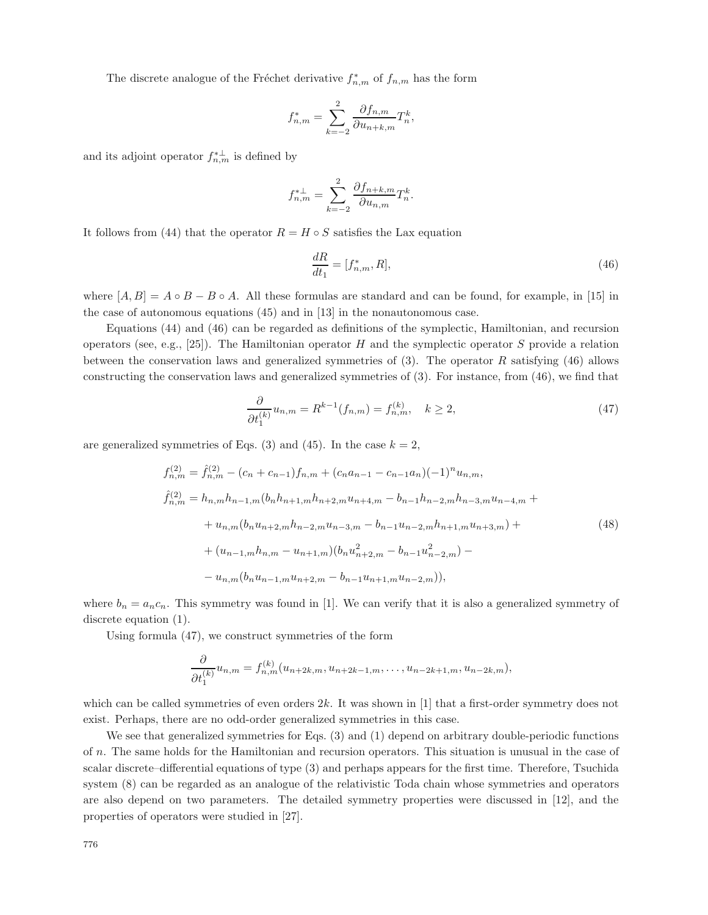The discrete analogue of the Fréchet derivative  $f_{n,m}^*$  of  $f_{n,m}$  has the form

$$
f_{n,m}^* = \sum_{k=-2}^2 \frac{\partial f_{n,m}}{\partial u_{n+k,m}} T_n^k,
$$

and its adjoint operator  $f_{n,m}^{*\perp}$  is defined by

$$
f_{n,m}^{*\perp} = \sum_{k=-2}^{2} \frac{\partial f_{n+k,m}}{\partial u_{n,m}} T_n^k.
$$

It follows from (44) that the operator  $R = H \circ S$  satisfies the Lax equation

$$
\frac{dR}{dt_1} = [f_{n,m}^*, R],\tag{46}
$$

where  $[A, B] = A \circ B - B \circ A$ . All these formulas are standard and can be found, for example, in [15] in the case of autonomous equations (45) and in [13] in the nonautonomous case.

Equations (44) and (46) can be regarded as definitions of the symplectic, Hamiltonian, and recursion operators (see, e.g., [25]). The Hamiltonian operator H and the symplectic operator S provide a relation between the conservation laws and generalized symmetries of  $(3)$ . The operator R satisfying  $(46)$  allows constructing the conservation laws and generalized symmetries of (3). For instance, from (46), we find that

$$
\frac{\partial}{\partial t_1^{(k)}} u_{n,m} = R^{k-1}(f_{n,m}) = f_{n,m}^{(k)}, \quad k \ge 2,
$$
\n(47)

are generalized symmetries of Eqs. (3) and (45). In the case  $k = 2$ ,

$$
f_{n,m}^{(2)} = \hat{f}_{n,m}^{(2)} - (c_n + c_{n-1})f_{n,m} + (c_n a_{n-1} - c_{n-1} a_n)(-1)^n u_{n,m},
$$
  
\n
$$
\hat{f}_{n,m}^{(2)} = h_{n,m} h_{n-1,m} (b_n h_{n+1,m} h_{n+2,m} u_{n+4,m} - b_{n-1} h_{n-2,m} h_{n-3,m} u_{n-4,m} +
$$
  
\n
$$
+ u_{n,m} (b_n u_{n+2,m} h_{n-2,m} u_{n-3,m} - b_{n-1} u_{n-2,m} h_{n+1,m} u_{n+3,m}) +
$$
  
\n
$$
+ (u_{n-1,m} h_{n,m} - u_{n+1,m}) (b_n u_{n+2,m}^2 - b_{n-1} u_{n-2,m}^2) -
$$
  
\n
$$
- u_{n,m} (b_n u_{n-1,m} u_{n+2,m} - b_{n-1} u_{n+1,m} u_{n-2,m})),
$$
\n
$$
(48)
$$

where  $b_n = a_n c_n$ . This symmetry was found in [1]. We can verify that it is also a generalized symmetry of discrete equation (1).

Using formula (47), we construct symmetries of the form

$$
\frac{\partial}{\partial t_1^{(k)}}u_{n,m}=f_{n,m}^{(k)}(u_{n+2k,m},u_{n+2k-1,m},\ldots,u_{n-2k+1,m},u_{n-2k,m}),
$$

which can be called symmetries of even orders  $2k$ . It was shown in [1] that a first-order symmetry does not exist. Perhaps, there are no odd-order generalized symmetries in this case.

We see that generalized symmetries for Eqs.  $(3)$  and  $(1)$  depend on arbitrary double-periodic functions of n. The same holds for the Hamiltonian and recursion operators. This situation is unusual in the case of scalar discrete–differential equations of type (3) and perhaps appears for the first time. Therefore, Tsuchida system (8) can be regarded as an analogue of the relativistic Toda chain whose symmetries and operators are also depend on two parameters. The detailed symmetry properties were discussed in [12], and the properties of operators were studied in [27].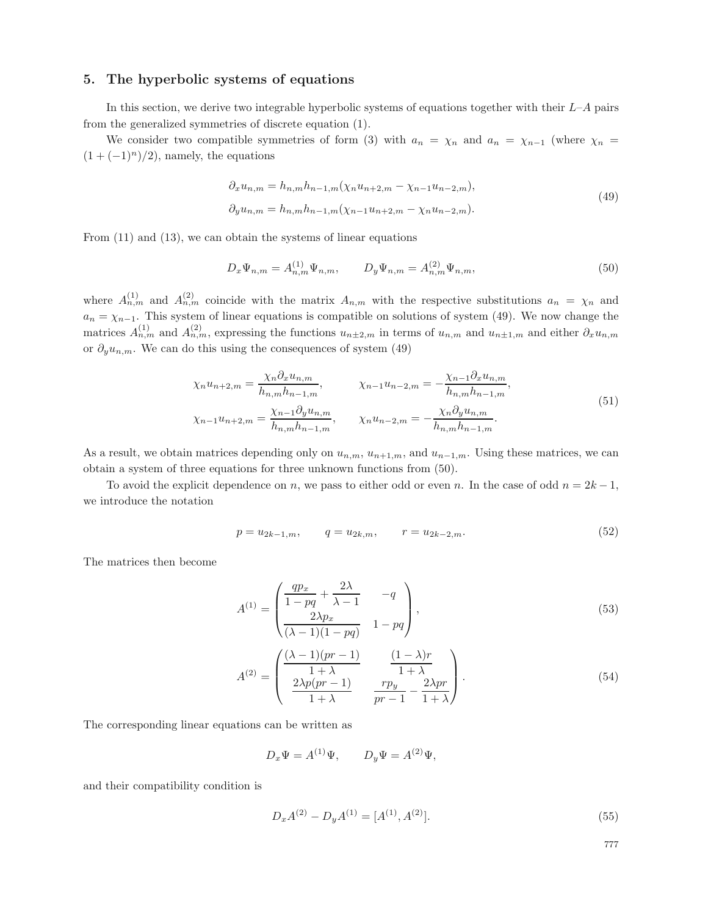## **5. The hyperbolic systems of equations**

In this section, we derive two integrable hyperbolic systems of equations together with their  $L-A$  pairs from the generalized symmetries of discrete equation (1).

We consider two compatible symmetries of form (3) with  $a_n = \chi_n$  and  $a_n = \chi_{n-1}$  (where  $\chi_n =$  $(1 + (-1)^n)/2$ , namely, the equations

$$
\partial_x u_{n,m} = h_{n,m} h_{n-1,m} (\chi_n u_{n+2,m} - \chi_{n-1} u_{n-2,m}),
$$
  
\n
$$
\partial_y u_{n,m} = h_{n,m} h_{n-1,m} (\chi_{n-1} u_{n+2,m} - \chi_n u_{n-2,m}).
$$
\n(49)

From (11) and (13), we can obtain the systems of linear equations

$$
D_x \Psi_{n,m} = A_{n,m}^{(1)} \Psi_{n,m}, \qquad D_y \Psi_{n,m} = A_{n,m}^{(2)} \Psi_{n,m}, \qquad (50)
$$

where  $A_{n,m}^{(1)}$  and  $A_{n,m}^{(2)}$  coincide with the matrix  $A_{n,m}$  with the respective substitutions  $a_n = \chi_n$  and  $a_n = \chi_{n-1}$ . This system of linear equations is compatible on solutions of system (49). We now change the matrices  $A_{n,m}^{(1)}$  and  $A_{n,m}^{(2)}$ , expressing the functions  $u_{n\pm 2,m}$  in terms of  $u_{n,m}$  and  $u_{n\pm 1,m}$  and either  $\partial_x u_{n,m}$ or  $\partial_y u_{n,m}$ . We can do this using the consequences of system (49)

$$
\chi_n u_{n+2,m} = \frac{\chi_n \partial_x u_{n,m}}{h_{n,m} h_{n-1,m}}, \qquad \chi_{n-1} u_{n-2,m} = -\frac{\chi_{n-1} \partial_x u_{n,m}}{h_{n,m} h_{n-1,m}},
$$
\n
$$
\chi_{n-1} u_{n+2,m} = \frac{\chi_{n-1} \partial_y u_{n,m}}{h_{n,m} h_{n-1,m}}, \qquad \chi_n u_{n-2,m} = -\frac{\chi_n \partial_y u_{n,m}}{h_{n,m} h_{n-1,m}}.
$$
\n(51)

As a result, we obtain matrices depending only on  $u_{n,m}$ ,  $u_{n+1,m}$ , and  $u_{n-1,m}$ . Using these matrices, we can obtain a system of three equations for three unknown functions from (50).

To avoid the explicit dependence on n, we pass to either odd or even n. In the case of odd  $n = 2k - 1$ , we introduce the notation

$$
p = u_{2k-1,m}, \qquad q = u_{2k,m}, \qquad r = u_{2k-2,m}.\tag{52}
$$

The matrices then become

$$
A^{(1)} = \begin{pmatrix} \frac{qp_x}{1 - pq} + \frac{2\lambda}{\lambda - 1} & -q \\ \frac{2\lambda p_x}{(\lambda - 1)(1 - pq)} & 1 - pq \end{pmatrix},
$$
\n
$$
(53)
$$

$$
A^{(2)} = \begin{pmatrix} \frac{(\lambda - 1)(pr - 1)}{1 + \lambda} & \frac{(1 - \lambda)r}{1 + \lambda} \\ \frac{2\lambda p(pr - 1)}{1 + \lambda} & \frac{rp_y}{pr - 1} - \frac{2\lambda pr}{1 + \lambda} \end{pmatrix}.
$$
 (54)

The corresponding linear equations can be written as

$$
D_x \Psi = A^{(1)} \Psi, \qquad D_y \Psi = A^{(2)} \Psi,
$$

and their compatibility condition is

$$
D_x A^{(2)} - D_y A^{(1)} = [A^{(1)}, A^{(2)}].
$$
\n(55)

$$
^{777}
$$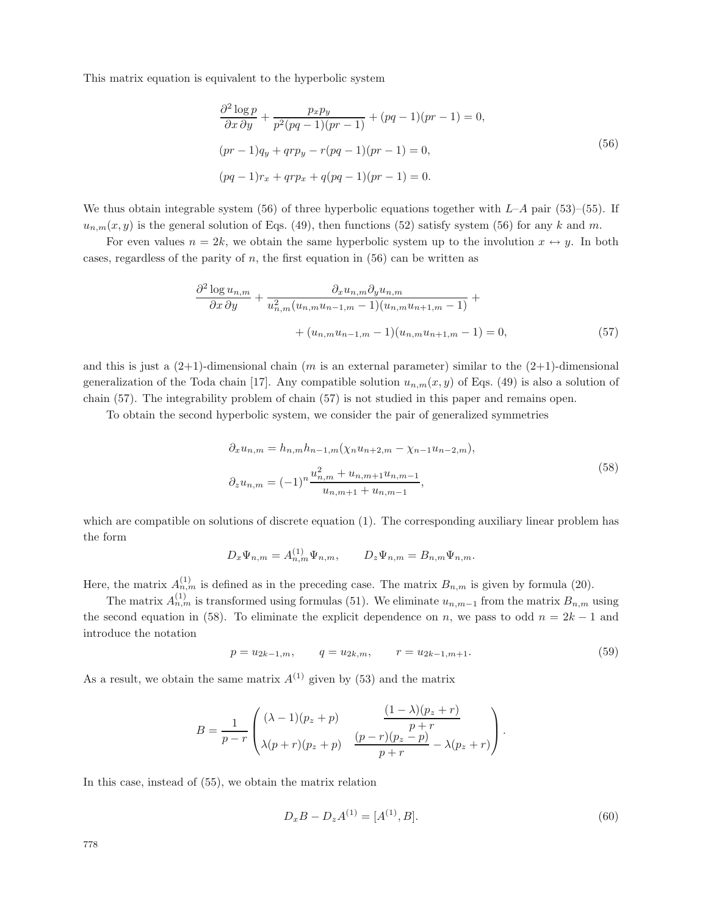This matrix equation is equivalent to the hyperbolic system

$$
\frac{\partial^2 \log p}{\partial x \partial y} + \frac{p_x p_y}{p^2 (pq - 1)(pr - 1)} + (pq - 1)(pr - 1) = 0,
$$
  
(pr - 1)qy + qrpy - r(pq - 1)(pr - 1) = 0,  
(pq - 1)r\_x + qrp\_x + q(pq - 1)(pr - 1) = 0. (56)

We thus obtain integrable system (56) of three hyperbolic equations together with  $L-A$  pair (53)–(55). If  $u_{n,m}(x, y)$  is the general solution of Eqs. (49), then functions (52) satisfy system (56) for any k and m.

For even values  $n = 2k$ , we obtain the same hyperbolic system up to the involution  $x \leftrightarrow y$ . In both cases, regardless of the parity of  $n$ , the first equation in (56) can be written as

$$
\frac{\partial^2 \log u_{n,m}}{\partial x \partial y} + \frac{\partial_x u_{n,m} \partial_y u_{n,m}}{u_{n,m}^2 (u_{n,m} u_{n-1,m} - 1)(u_{n,m} u_{n+1,m} - 1)} + + (u_{n,m} u_{n-1,m} - 1)(u_{n,m} u_{n+1,m} - 1) = 0,
$$
\n(57)

and this is just a  $(2+1)$ -dimensional chain (m is an external parameter) similar to the  $(2+1)$ -dimensional generalization of the Toda chain [17]. Any compatible solution  $u_{n,m}(x, y)$  of Eqs. (49) is also a solution of chain (57). The integrability problem of chain (57) is not studied in this paper and remains open.

To obtain the second hyperbolic system, we consider the pair of generalized symmetries

$$
\partial_x u_{n,m} = h_{n,m} h_{n-1,m} (\chi_n u_{n+2,m} - \chi_{n-1} u_{n-2,m}),
$$
  

$$
\partial_z u_{n,m} = (-1)^n \frac{u_{n,m}^2 + u_{n,m+1} u_{n,m-1}}{u_{n,m+1} + u_{n,m-1}},
$$
\n(58)

which are compatible on solutions of discrete equation  $(1)$ . The corresponding auxiliary linear problem has the form

$$
D_x \Psi_{n,m} = A_{n,m}^{(1)} \Psi_{n,m}, \qquad D_z \Psi_{n,m} = B_{n,m} \Psi_{n,m}.
$$

Here, the matrix  $A_{n,m}^{(1)}$  is defined as in the preceding case. The matrix  $B_{n,m}$  is given by formula (20).

The matrix  $A_{n,m}^{(1)}$  is transformed using formulas (51). We eliminate  $u_{n,m-1}$  from the matrix  $B_{n,m}$  using the second equation in (58). To eliminate the explicit dependence on n, we pass to odd  $n = 2k - 1$  and introduce the notation

$$
p = u_{2k-1,m}, \qquad q = u_{2k,m}, \qquad r = u_{2k-1,m+1}.\tag{59}
$$

As a result, we obtain the same matrix  $A^{(1)}$  given by (53) and the matrix

$$
B = \frac{1}{p-r} \begin{pmatrix} (\lambda - 1)(p_z + p) & \frac{(1 - \lambda)(p_z + r)}{p+r} \\ \lambda(p+r)(p_z + p) & \frac{(p-r)(p_z - p)}{p+r} - \lambda(p_z + r) \end{pmatrix}.
$$

In this case, instead of (55), we obtain the matrix relation

$$
D_x B - D_z A^{(1)} = [A^{(1)}, B].
$$
\n(60)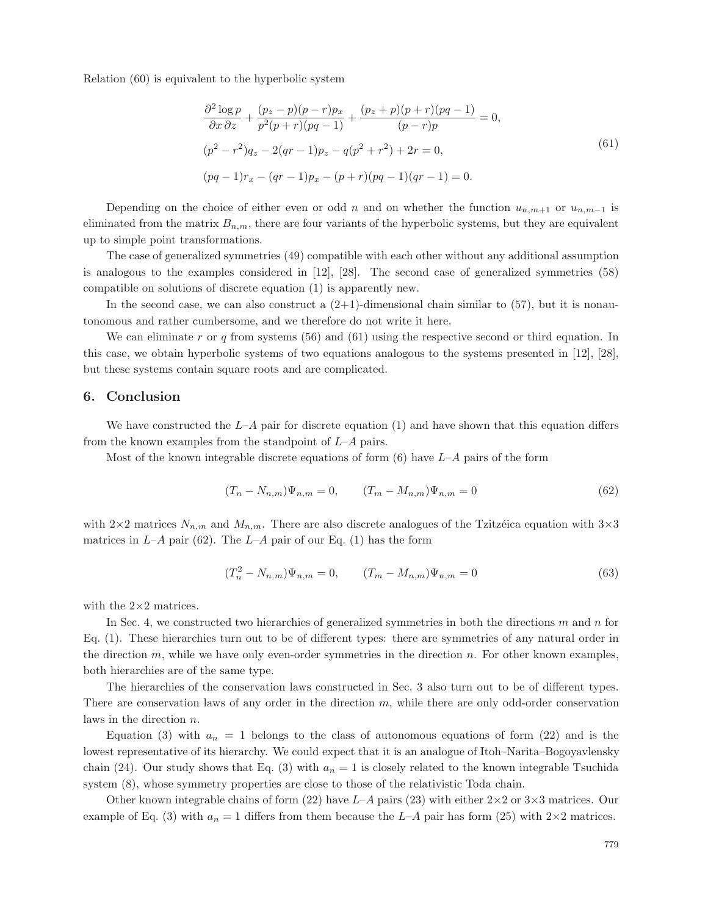Relation (60) is equivalent to the hyperbolic system

$$
\frac{\partial^2 \log p}{\partial x \partial z} + \frac{(p_z - p)(p - r)p_x}{p^2(p + r)(pq - 1)} + \frac{(p_z + p)(p + r)(pq - 1)}{(p - r)p} = 0,
$$
  
\n
$$
(p^2 - r^2)q_z - 2(qr - 1)p_z - q(p^2 + r^2) + 2r = 0,
$$
  
\n
$$
(pq - 1)r_x - (qr - 1)p_x - (p + r)(pq - 1)(qr - 1) = 0.
$$
\n(61)

Depending on the choice of either even or odd n and on whether the function  $u_{n,m+1}$  or  $u_{n,m-1}$  is eliminated from the matrix  $B_{n,m}$ , there are four variants of the hyperbolic systems, but they are equivalent up to simple point transformations.

The case of generalized symmetries (49) compatible with each other without any additional assumption is analogous to the examples considered in [12], [28]. The second case of generalized symmetries (58) compatible on solutions of discrete equation (1) is apparently new.

In the second case, we can also construct a  $(2+1)$ -dimensional chain similar to  $(57)$ , but it is nonautonomous and rather cumbersome, and we therefore do not write it here.

We can eliminate r or q from systems  $(56)$  and  $(61)$  using the respective second or third equation. In this case, we obtain hyperbolic systems of two equations analogous to the systems presented in [12], [28], but these systems contain square roots and are complicated.

## **6. Conclusion**

We have constructed the  $L-A$  pair for discrete equation (1) and have shown that this equation differs from the known examples from the standpoint of  $L-A$  pairs.

Most of the known integrable discrete equations of form  $(6)$  have  $L-A$  pairs of the form

$$
(T_n - N_{n,m})\Psi_{n,m} = 0, \qquad (T_m - M_{n,m})\Psi_{n,m} = 0 \tag{62}
$$

with  $2\times 2$  matrices  $N_{n,m}$  and  $M_{n,m}$ . There are also discrete analogues of the Tzitzéica equation with  $3\times 3$ matrices in  $L-A$  pair (62). The  $L-A$  pair of our Eq. (1) has the form

$$
(T_n^2 - N_{n,m})\Psi_{n,m} = 0, \qquad (T_m - M_{n,m})\Psi_{n,m} = 0
$$
\n(63)

with the  $2\times 2$  matrices.

In Sec. 4, we constructed two hierarchies of generalized symmetries in both the directions  $m$  and  $n$  for Eq. (1). These hierarchies turn out to be of different types: there are symmetries of any natural order in the direction  $m$ , while we have only even-order symmetries in the direction  $n$ . For other known examples, both hierarchies are of the same type.

The hierarchies of the conservation laws constructed in Sec. 3 also turn out to be of different types. There are conservation laws of any order in the direction  $m$ , while there are only odd-order conservation laws in the direction n.

Equation (3) with  $a_n = 1$  belongs to the class of autonomous equations of form (22) and is the lowest representative of its hierarchy. We could expect that it is an analogue of Itoh–Narita–Bogoyavlensky chain (24). Our study shows that Eq. (3) with  $a_n = 1$  is closely related to the known integrable Tsuchida system (8), whose symmetry properties are close to those of the relativistic Toda chain.

Other known integrable chains of form (22) have  $L-A$  pairs (23) with either  $2\times 2$  or  $3\times 3$  matrices. Our example of Eq. (3) with  $a_n = 1$  differs from them because the  $L-A$  pair has form (25) with  $2 \times 2$  matrices.